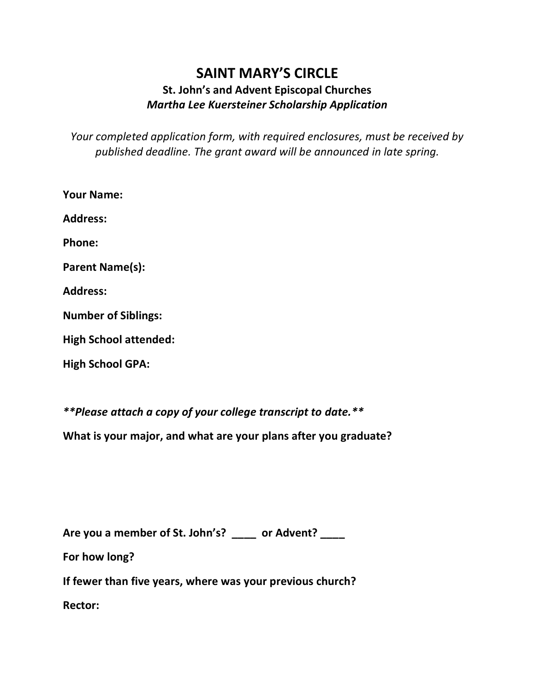## **SAINT MARY'S CIRCLE St. John's and Advent Episcopal Churches** *Martha Lee Kuersteiner Scholarship Application*

*Your completed application form, with required enclosures, must be received by published deadline. The grant award will be announced in late spring.*

| <b>Your Name:</b>            |
|------------------------------|
| <b>Address:</b>              |
| <b>Phone:</b>                |
| <b>Parent Name(s):</b>       |
| <b>Address:</b>              |
| <b>Number of Siblings:</b>   |
| <b>High School attended:</b> |

**High School GPA:**

*\*\*Please attach a copy of your college transcript to date.\*\**

**What is your major, and what are your plans after you graduate?**

**Are you a member of St. John's? \_\_\_\_ or Advent? \_\_\_\_** 

**For how long?** 

**If fewer than five years, where was your previous church? Rector:**